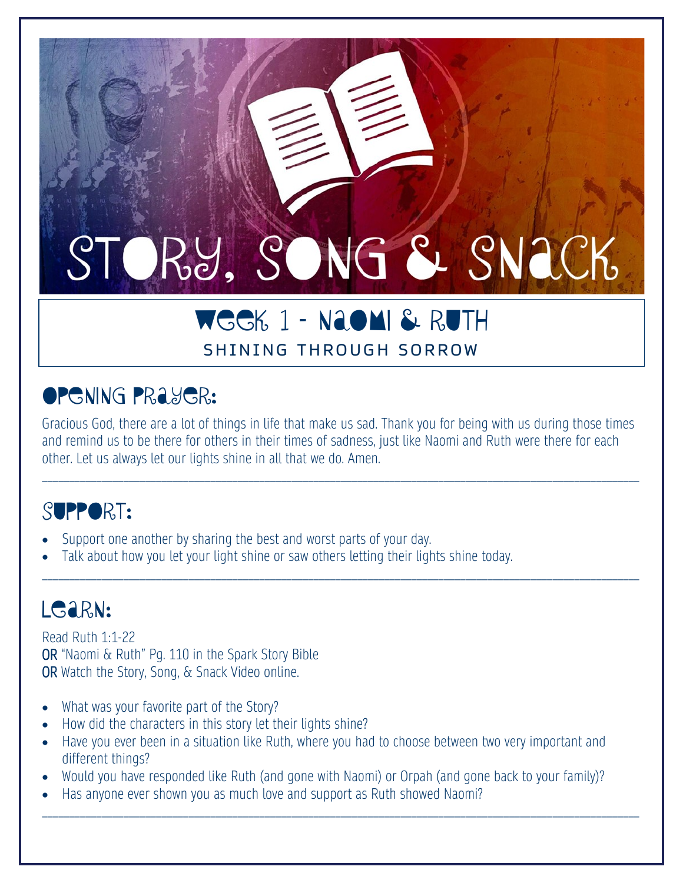# STORY, SONG & SNACK

## WEEK 1 – NAOMI & RUTH

#### SHINING THROUGH SORROW

## **OPENING PRAYER:**

Gracious God, there are a lot of things in life that make us sad. Thank you for being with us during those times and remind us to be there for others in their times of sadness, just like Naomi and Ruth were there for each other. Let us always let our lights shine in all that we do. Amen.

\_\_\_\_\_\_\_\_\_\_\_\_\_\_\_\_\_\_\_\_\_\_\_\_\_\_\_\_\_\_\_\_\_\_\_\_\_\_\_\_\_\_\_\_\_\_\_\_\_\_\_\_\_\_\_\_\_\_\_\_\_\_\_\_\_\_\_\_\_\_\_\_\_\_\_\_\_\_\_\_\_\_\_\_\_\_\_\_\_\_\_\_\_\_\_\_\_\_\_\_\_\_\_\_\_\_\_\_\_\_

\_\_\_\_\_\_\_\_\_\_\_\_\_\_\_\_\_\_\_\_\_\_\_\_\_\_\_\_\_\_\_\_\_\_\_\_\_\_\_\_\_\_\_\_\_\_\_\_\_\_\_\_\_\_\_\_\_\_\_\_\_\_\_\_\_\_\_\_\_\_\_\_\_\_\_\_\_\_\_\_\_\_\_\_\_\_\_\_\_\_\_\_\_\_\_\_\_\_\_\_\_\_\_\_\_\_\_\_\_\_

## SUPPORT:

- Support one another by sharing the best and worst parts of your day.
- Talk about how you let your light shine or saw others letting their lights shine today.

## LG<sub>aRN</sub>:

Read Ruth 1:1-22 OR "Naomi & Ruth" Pg. 110 in the Spark Story Bible OR Watch the Story, Song, & Snack Video online.

- What was your favorite part of the Story?
- How did the characters in this story let their lights shine?
- Have you ever been in a situation like Ruth, where you had to choose between two very important and different things?
- Would you have responded like Ruth (and gone with Naomi) or Orpah (and gone back to your family)?

\_\_\_\_\_\_\_\_\_\_\_\_\_\_\_\_\_\_\_\_\_\_\_\_\_\_\_\_\_\_\_\_\_\_\_\_\_\_\_\_\_\_\_\_\_\_\_\_\_\_\_\_\_\_\_\_\_\_\_\_\_\_\_\_\_\_\_\_\_\_\_\_\_\_\_\_\_\_\_\_\_\_\_\_\_\_\_\_\_\_\_\_\_\_\_\_\_\_\_\_\_\_\_\_\_\_\_\_\_\_

• Has anyone ever shown you as much love and support as Ruth showed Naomi?